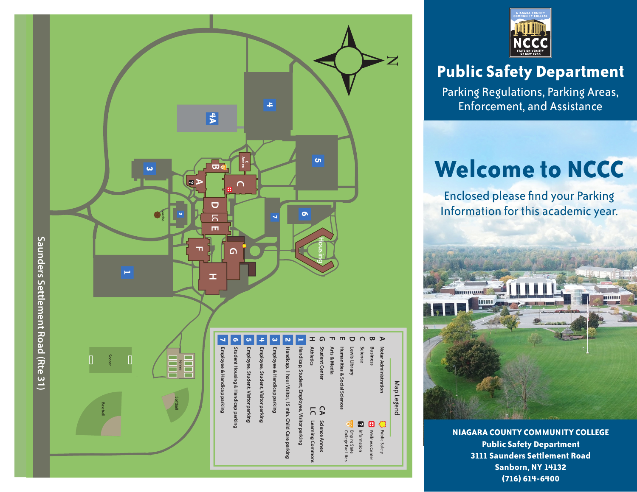



# **Public Safety Department**

Parking Regulations, Parking Areas, Enforcement, and Assistance

# **Welcome to NCCC**

Enclosed please find your Parking Information for this academic year.



**NIAGARA COUNTY COMMUNITY COLLEGE Public Safety Department 3111 Saunders Settlement Road Sanborn, NY 14132 (716) 614-6400**